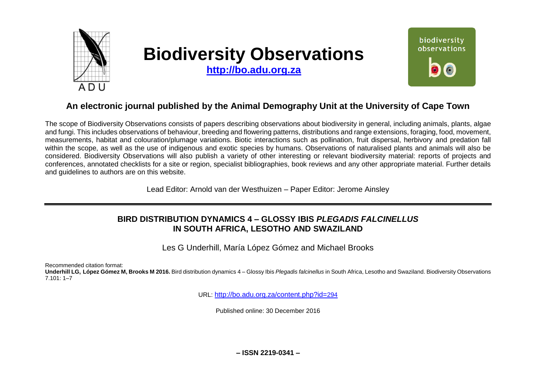

# **Biodiversity Observations**

**[http://bo.adu.org.za](http://bo.adu.org.za/)**



# **An electronic journal published by the Animal Demography Unit at the University of Cape Town**

The scope of Biodiversity Observations consists of papers describing observations about biodiversity in general, including animals, plants, algae and fungi. This includes observations of behaviour, breeding and flowering patterns, distributions and range extensions, foraging, food, movement, measurements, habitat and colouration/plumage variations. Biotic interactions such as pollination, fruit dispersal, herbivory and predation fall within the scope, as well as the use of indigenous and exotic species by humans. Observations of naturalised plants and animals will also be considered. Biodiversity Observations will also publish a variety of other interesting or relevant biodiversity material: reports of projects and conferences, annotated checklists for a site or region, specialist bibliographies, book reviews and any other appropriate material. Further details and guidelines to authors are on this website.

Lead Editor: Arnold van der Westhuizen – Paper Editor: Jerome Ainsley

# **BIRD DISTRIBUTION DYNAMICS 4 – GLOSSY IBIS** *PLEGADIS FALCINELLUS* **IN SOUTH AFRICA, LESOTHO AND SWAZILAND**

Les G Underhill, María López Gómez and Michael Brooks

Recommended citation format:

**Underhill LG, López Gómez M, Brooks M 2016.** Bird distribution dynamics 4 – Glossy Ibis *Plegadis falcinellus* in South Africa, Lesotho and Swaziland. Biodiversity Observations 7.101: 1–7

URL: [http://bo.adu.org.za/content.php?id=](http://bo.adu.org.za/content.php?id=294)294

Published online: 30 December 2016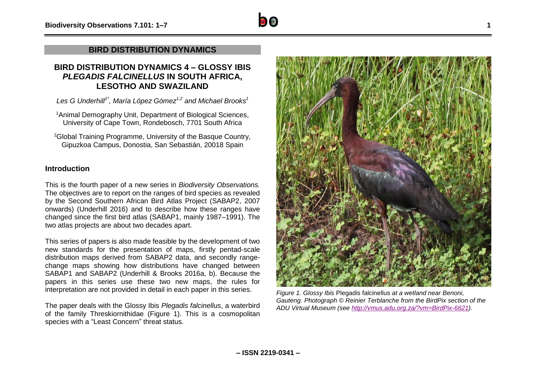## **BIRD DISTRIBUTION DYNAMICS**

## **BIRD DISTRIBUTION DYNAMICS 4 – GLOSSY IBIS**  *PLEGADIS FALCINELLUS* **IN SOUTH AFRICA, LESOTHO AND SWAZILAND**

*Les G Underhill1\* , María López Gómez1,2 and Michael Brooks<sup>1</sup>*

<sup>1</sup>Animal Demography Unit, Department of Biological Sciences, University of Cape Town, Rondebosch, 7701 South Africa

<sup>2</sup>Global Training Programme, University of the Basque Country, Gipuzkoa Campus, Donostia, San Sebastián, 20018 Spain

### **Introduction**

This is the fourth paper of a new series in *Biodiversity Observations.*  The objectives are to report on the ranges of bird species as revealed by the Second Southern African Bird Atlas Project (SABAP2, 2007 onwards) (Underhill 2016) and to describe how these ranges have changed since the first bird atlas (SABAP1, mainly 1987–1991). The two atlas projects are about two decades apart.

This series of papers is also made feasible by the development of two new standards for the presentation of maps, firstly pentad-scale distribution maps derived from SABAP2 data, and secondly rangechange maps showing how distributions have changed between SABAP1 and SABAP2 (Underhill & Brooks 2016a, b). Because the papers in this series use these two new maps, the rules for interpretation are not provided in detail in each paper in this series.

The paper deals with the Glossy Ibis *Plegadis falcinellus*, a waterbird of the family Threskiornithidae (Figure 1). This is a cosmopolitan species with a "Least Concern" threat status.



*Figure 1. Glossy Ibis* Plegadis falcinellus *at a wetland near Benoni, Gauteng. Photograph © Reinier Terblanche from the BirdPix section of the ADU Virtual Museum (see [http://vmus.adu.org.za/?vm=BirdPix-6621\)](http://vmus.adu.org.za/?vm=BirdPix-6621).*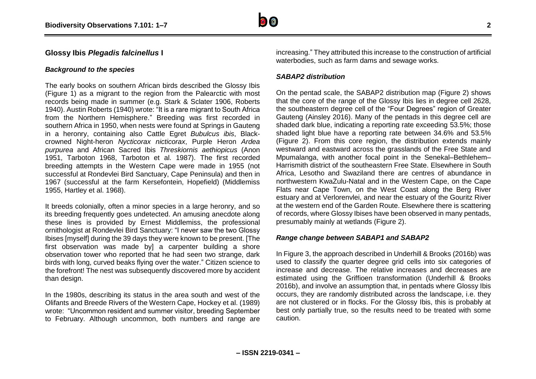

#### **Glossy Ibis** *Plegadis falcinellus* **I**

#### *Background to the species*

The early books on southern African birds described the Glossy Ibis (Figure 1) as a migrant to the region from the Palearctic with most records being made in summer (e.g. Stark & Sclater 1906, Roberts 1940). Austin Roberts (1940) wrote: "It is a rare migrant to South Africa from the Northern Hemisphere." Breeding was first recorded in southern Africa in 1950, when nests were found at Springs in Gauteng in a heronry, containing also Cattle Egret *Bubulcus ibis*, Blackcrowned Night-heron *Nycticorax nicticorax*, Purple Heron *Ardea purpurea* and African Sacred Ibis *Threskiornis aethiopicus* (Anon 1951, Tarboton 1968, Tarboton et al. 1987). The first recorded breeding attempts in the Western Cape were made in 1955 (not successful at Rondevlei Bird Sanctuary, Cape Peninsula) and then in 1967 (successful at the farm Kersefontein, Hopefield) (Middlemiss 1955, Hartley et al. 1968).

It breeds colonially, often a minor species in a large heronry, and so its breeding frequently goes undetected. An amusing anecdote along these lines is provided by Ernest Middlemiss, the professional ornithologist at Rondevlei Bird Sanctuary: "I never saw the two Glossy Ibises [myself] during the 39 days they were known to be present. [The first observation was made by] a carpenter building a shore observation tower who reported that he had seen two strange, dark birds with long, curved beaks flying over the water." Citizen science to the forefront! The nest was subsequently discovered more by accident than design.

In the 1980s, describing its status in the area south and west of the Olifants and Breede Rivers of the Western Cape, Hockey et al. (1989) wrote: "Uncommon resident and summer visitor, breeding September to February. Although uncommon, both numbers and range are increasing." They attributed this increase to the construction of artificial waterbodies, such as farm dams and sewage works.

#### *SABAP2 distribution*

On the pentad scale, the SABAP2 distribution map (Figure 2) shows that the core of the range of the Glossy Ibis lies in degree cell 2628, the southeastern degree cell of the "Four Degrees" region of Greater Gauteng (Ainsley 2016). Many of the pentads in this degree cell are shaded dark blue, indicating a reporting rate exceeding 53.5%; those shaded light blue have a reporting rate between 34.6% and 53.5% (Figure 2). From this core region, the distribution extends mainly westward and eastward across the grasslands of the Free State and Mpumalanga, with another focal point in the Senekal–Bethlehem– Harrismith district of the southeastern Free State. Elsewhere in South Africa, Lesotho and Swaziland there are centres of abundance in northwestern KwaZulu-Natal and in the Western Cape, on the Cape Flats near Cape Town, on the West Coast along the Berg River estuary and at Verlorenvlei, and near the estuary of the Gouritz River at the western end of the Garden Route. Elsewhere there is scattering of records, where Glossy Ibises have been observed in many pentads, presumably mainly at wetlands (Figure 2).

#### *Range change between SABAP1 and SABAP2*

In Figure 3, the approach described in Underhill & Brooks (2016b) was used to classify the quarter degree grid cells into six categories of increase and decrease. The relative increases and decreases are estimated using the Griffioen transformation (Underhill & Brooks 2016b), and involve an assumption that, in pentads where Glossy Ibis occurs, they are randomly distributed across the landscape, i.e. they are not clustered or in flocks. For the Glossy Ibis, this is probably at best only partially true, so the results need to be treated with some caution.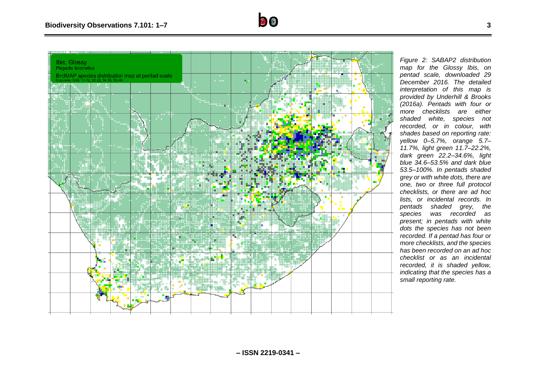

*Figure 2: SABAP2 distribution map for the Glossy Ibis, on pentad scale, downloaded 29 December 2016. The detailed interpretation of this map is provided by Underhill & Brooks (2016a). Pentads with four or more checklists are either shaded white, species not recorded, or in colour, with shades based on reporting rate: yellow 0–5.7%, orange 5.7– 11.7%, light green 11.7–22.2%, dark green 22.2–34.6%, light blue 34.6–53.5% and dark blue 53.5–100%. In pentads shaded grey or with white dots, there are one, two or three full protocol checklists, or there are ad hoc lists, or incidental records. In pentads shaded grey, the species was recorded as present; in pentads with white dots the species has not been recorded. If a pentad has four or more checklists, and the species has been recorded on an ad hoc checklist or as an incidental recorded, it is shaded yellow, indicating that the species has a small reporting rate.*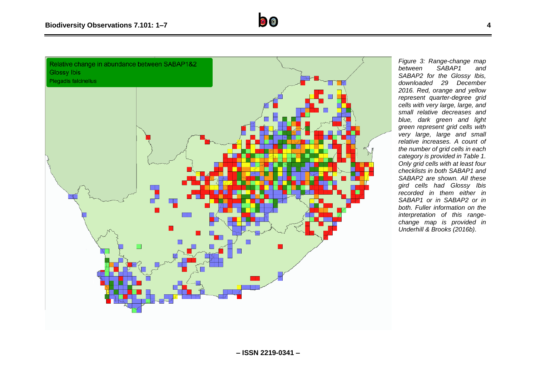

*Figure 3: Range-change map*   $SABAP1$ *SABAP2 for the Glossy Ibis, downloaded 29 December 2016. Red, orange and yellow represent quarter-degree grid cells with very large, large, and small relative decreases and blue, dark green and light green represent grid cells with very large, large and small relative increases. A count of the number of grid cells in each category is provided in Table 1. Only grid cells with at least four checklists in both SABAP1 and SABAP2 are shown. All these gird cells had Glossy Ibis recorded in them either in SABAP1 or in SABAP2 or in both. Fuller information on the interpretation of this rangechange map is provided in Underhill & Brooks (2016b).*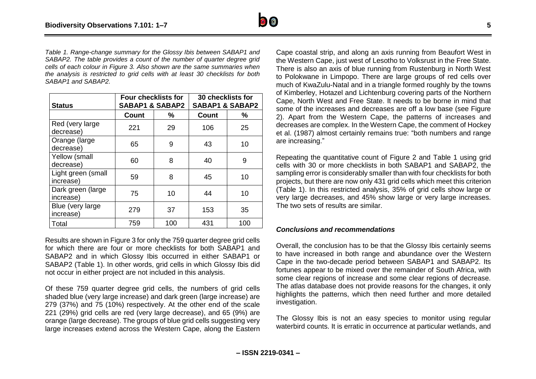

*Table 1. Range-change summary for the Glossy Ibis between SABAP1 and SABAP2. The table provides a count of the number of quarter degree grid cells of each colour in Figure 3. Also shown are the same summaries when the analysis is restricted to grid cells with at least 30 checklists for both SABAP1 and SABAP2.*

| <b>Status</b>                   | <b>Four checklists for</b><br><b>SABAP1 &amp; SABAP2</b> |     | 30 checklists for<br><b>SABAP1 &amp; SABAP2</b> |     |
|---------------------------------|----------------------------------------------------------|-----|-------------------------------------------------|-----|
|                                 | <b>Count</b>                                             | %   | <b>Count</b>                                    | %   |
| Red (very large)<br>decrease)   | 221                                                      | 29  | 106                                             | 25  |
| Orange (large<br>decrease)      | 65                                                       | 9   | 43                                              | 10  |
| Yellow (small<br>decrease)      | 60                                                       | 8   | 40                                              | 9   |
| Light green (small<br>increase) | 59                                                       | 8   | 45                                              | 10  |
| Dark green (large<br>increase)  | 75                                                       | 10  | 44                                              | 10  |
| Blue (very large<br>increase)   | 279                                                      | 37  | 153                                             | 35  |
| Total                           | 759                                                      | 100 | 431                                             | 100 |

Results are shown in Figure 3 for only the 759 quarter degree grid cells for which there are four or more checklists for both SABAP1 and SABAP2 and in which Glossy Ibis occurred in either SABAP1 or SABAP2 (Table 1). In other words, grid cells in which Glossy Ibis did not occur in either project are not included in this analysis.

Of these 759 quarter degree grid cells, the numbers of grid cells shaded blue (very large increase) and dark green (large increase) are 279 (37%) and 75 (10%) respectively. At the other end of the scale 221 (29%) grid cells are red (very large decrease), and 65 (9%) are orange (large decrease). The groups of blue grid cells suggesting very large increases extend across the Western Cape, along the Eastern

Cape coastal strip, and along an axis running from Beaufort West in the Western Cape, just west of Lesotho to Volksrust in the Free State. There is also an axis of blue running from Rustenburg in North West to Polokwane in Limpopo. There are large groups of red cells over much of KwaZulu-Natal and in a triangle formed roughly by the towns of Kimberley, Hotazel and Lichtenburg covering parts of the Northern Cape, North West and Free State. It needs to be borne in mind that some of the increases and decreases are off a low base (see Figure 2). Apart from the Western Cape, the patterns of increases and decreases are complex. In the Western Cape, the comment of Hockey et al. (1987) almost certainly remains true: "both numbers and range are increasing."

Repeating the quantitative count of Figure 2 and Table 1 using grid cells with 30 or more checklists in both SABAP1 and SABAP2, the sampling error is considerably smaller than with four checklists for both projects, but there are now only 431 grid cells which meet this criterion (Table 1). In this restricted analysis, 35% of grid cells show large or very large decreases, and 45% show large or very large increases. The two sets of results are similar.

#### *Conclusions and recommendations*

Overall, the conclusion has to be that the Glossy Ibis certainly seems to have increased in both range and abundance over the Western Cape in the two-decade period between SABAP1 and SABAP2. Its fortunes appear to be mixed over the remainder of South Africa, with some clear regions of increase and some clear regions of decrease. The atlas database does not provide reasons for the changes, it only highlights the patterns, which then need further and more detailed investigation.

The Glossy Ibis is not an easy species to monitor using regular waterbird counts. It is erratic in occurrence at particular wetlands, and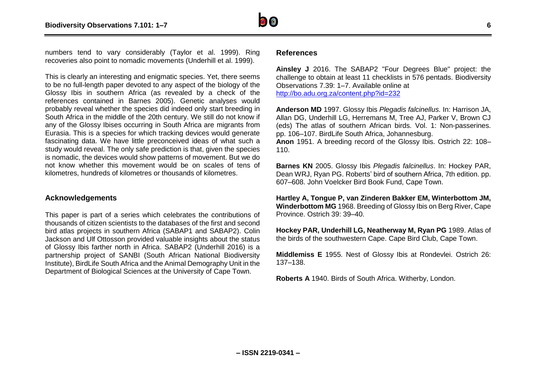

numbers tend to vary considerably (Taylor et al. 1999). Ring recoveries also point to nomadic movements (Underhill et al. 1999).

This is clearly an interesting and enigmatic species. Yet, there seems to be no full-length paper devoted to any aspect of the biology of the Glossy Ibis in southern Africa (as revealed by a check of the references contained in Barnes 2005). Genetic analyses would probably reveal whether the species did indeed only start breeding in South Africa in the middle of the 20th century. We still do not know if any of the Glossy Ibises occurring in South Africa are migrants from Eurasia. This is a species for which tracking devices would generate fascinating data. We have little preconceived ideas of what such a study would reveal. The only safe prediction is that, given the species is nomadic, the devices would show patterns of movement. But we do not know whether this movement would be on scales of tens of kilometres, hundreds of kilometres or thousands of kilometres.

#### **Acknowledgements**

This paper is part of a series which celebrates the contributions of thousands of citizen scientists to the databases of the first and second bird atlas projects in southern Africa (SABAP1 and SABAP2). Colin Jackson and Ulf Ottosson provided valuable insights about the status of Glossy Ibis farther north in Africa. SABAP2 (Underhill 2016) is a partnership project of SANBI (South African National Biodiversity Institute), BirdLife South Africa and the Animal Demography Unit in the Department of Biological Sciences at the University of Cape Town.

#### **References**

110.

**Ainsley J** 2016. The SABAP2 "Four Degrees Blue" project: the challenge to obtain at least 11 checklists in 576 pentads. Biodiversity Observations 7.39: 1–7. Available online at <http://bo.adu.org.za/content.php?id=232>

**Anderson MD** 1997. Glossy Ibis *Plegadis falcinellus.* In: Harrison JA, Allan DG, Underhill LG, Herremans M, Tree AJ, Parker V, Brown CJ (eds) The atlas of southern African birds. Vol. 1: Non-passerines. pp. 106–107. BirdLife South Africa, Johannesburg. **Anon** 1951. A breeding record of the Glossy Ibis. Ostrich 22: 108–

**Barnes KN** 2005. Glossy Ibis *Plegadis falcinellus*. In: Hockey PAR, Dean WRJ, Ryan PG. Roberts' bird of southern Africa, 7th edition. pp. 607–608. John Voelcker Bird Book Fund, Cape Town.

**Hartley A, Tongue P, van Zinderen Bakker EM, Winterbottom JM, Winderbottom MG** 1968. Breeding of Glossy Ibis on Berg River, Cape Province. Ostrich 39: 39–40.

**Hockey PAR, Underhill LG, Neatherway M, Ryan PG** 1989. Atlas of the birds of the southwestern Cape. Cape Bird Club, Cape Town.

**Middlemiss E** 1955. Nest of Glossy Ibis at Rondevlei. Ostrich 26: 137–138.

**Roberts A** 1940. Birds of South Africa. Witherby, London.